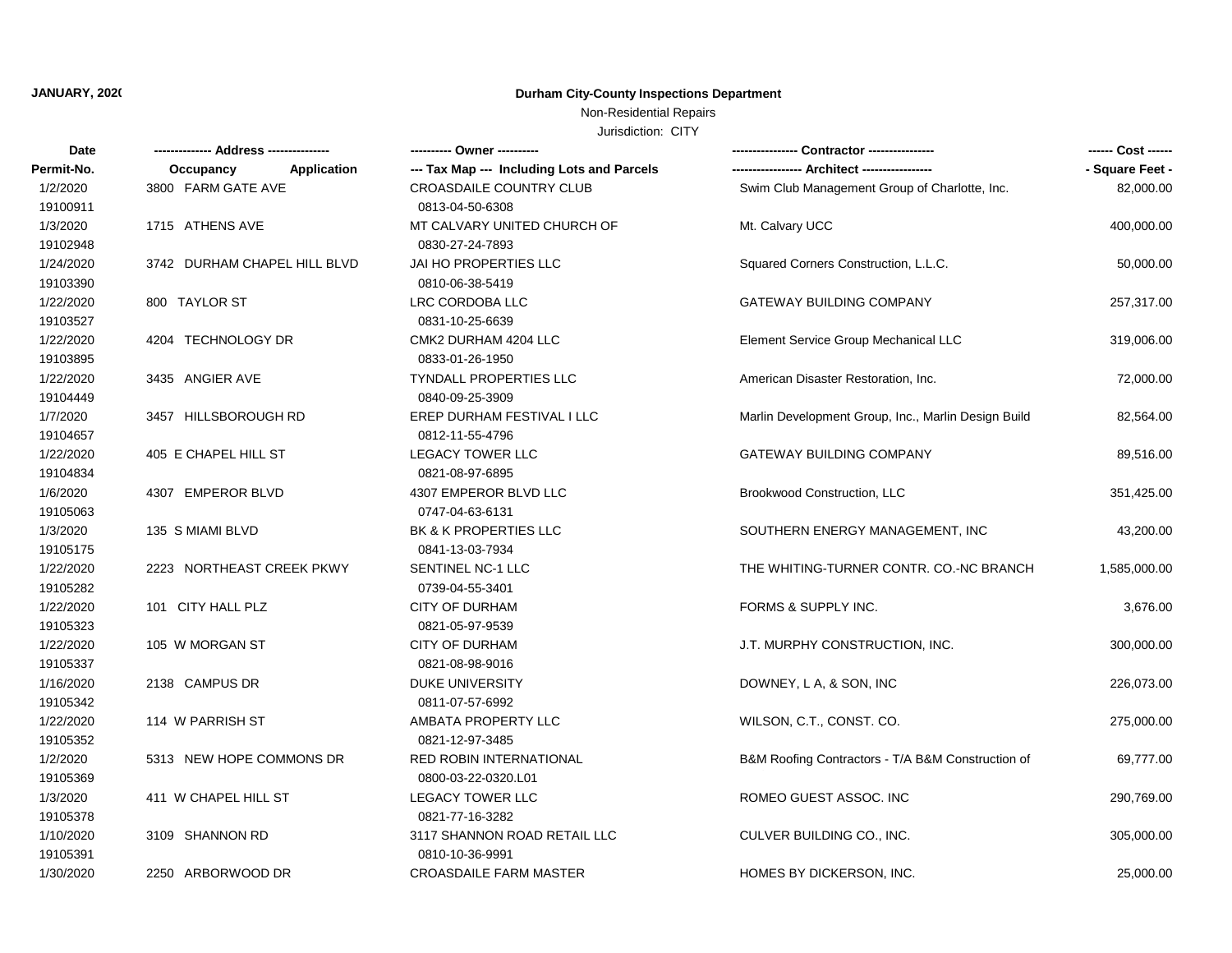# **JANUARY, 2020 Durham City-County Inspections Department**

## Non-Residential Repairs

Jurisdiction: CITY

| Date       |                                 | ---------- Owner ----------                |                                                     | ------ Cost ------ |
|------------|---------------------------------|--------------------------------------------|-----------------------------------------------------|--------------------|
| Permit-No. | <b>Application</b><br>Occupancy | --- Tax Map --- Including Lots and Parcels |                                                     | - Square Feet -    |
| 1/2/2020   | 3800 FARM GATE AVE              | <b>CROASDAILE COUNTRY CLUB</b>             | Swim Club Management Group of Charlotte, Inc.       | 82,000.00          |
| 19100911   |                                 | 0813-04-50-6308                            |                                                     |                    |
| 1/3/2020   | 1715 ATHENS AVE                 | MT CALVARY UNITED CHURCH OF                | Mt. Calvary UCC                                     | 400,000.00         |
| 19102948   |                                 | 0830-27-24-7893                            |                                                     |                    |
| 1/24/2020  | 3742 DURHAM CHAPEL HILL BLVD    | <b>JAI HO PROPERTIES LLC</b>               | Squared Corners Construction, L.L.C.                | 50,000.00          |
| 19103390   |                                 | 0810-06-38-5419                            |                                                     |                    |
| 1/22/2020  | 800 TAYLOR ST                   | LRC CORDOBA LLC                            | <b>GATEWAY BUILDING COMPANY</b>                     | 257,317.00         |
| 19103527   |                                 | 0831-10-25-6639                            |                                                     |                    |
| 1/22/2020  | 4204 TECHNOLOGY DR              | CMK2 DURHAM 4204 LLC                       | Element Service Group Mechanical LLC                | 319,006.00         |
| 19103895   |                                 | 0833-01-26-1950                            |                                                     |                    |
| 1/22/2020  | 3435 ANGIER AVE                 | <b>TYNDALL PROPERTIES LLC</b>              | American Disaster Restoration, Inc.                 | 72,000.00          |
| 19104449   |                                 | 0840-09-25-3909                            |                                                     |                    |
| 1/7/2020   | 3457 HILLSBOROUGH RD            | EREP DURHAM FESTIVAL I LLC                 | Marlin Development Group, Inc., Marlin Design Build | 82,564.00          |
| 19104657   |                                 | 0812-11-55-4796                            |                                                     |                    |
| 1/22/2020  | 405 E CHAPEL HILL ST            | <b>LEGACY TOWER LLC</b>                    | <b>GATEWAY BUILDING COMPANY</b>                     | 89,516.00          |
| 19104834   |                                 | 0821-08-97-6895                            |                                                     |                    |
| 1/6/2020   | 4307 EMPEROR BLVD               | 4307 EMPEROR BLVD LLC                      | Brookwood Construction, LLC                         | 351,425.00         |
| 19105063   |                                 | 0747-04-63-6131                            |                                                     |                    |
| 1/3/2020   | 135 S MIAMI BLVD                | BK & K PROPERTIES LLC                      | SOUTHERN ENERGY MANAGEMENT, INC                     | 43,200.00          |
| 19105175   |                                 | 0841-13-03-7934                            |                                                     |                    |
| 1/22/2020  | 2223 NORTHEAST CREEK PKWY       | SENTINEL NC-1 LLC                          | THE WHITING-TURNER CONTR. CO.-NC BRANCH             | 1,585,000.00       |
| 19105282   |                                 | 0739-04-55-3401                            |                                                     |                    |
| 1/22/2020  | 101 CITY HALL PLZ               | <b>CITY OF DURHAM</b>                      | FORMS & SUPPLY INC.                                 | 3,676.00           |
| 19105323   |                                 | 0821-05-97-9539                            |                                                     |                    |
| 1/22/2020  | 105 W MORGAN ST                 | <b>CITY OF DURHAM</b>                      | J.T. MURPHY CONSTRUCTION, INC.                      | 300,000.00         |
| 19105337   |                                 | 0821-08-98-9016                            |                                                     |                    |
| 1/16/2020  | 2138 CAMPUS DR                  | <b>DUKE UNIVERSITY</b>                     | DOWNEY, L A, & SON, INC                             | 226,073.00         |
| 19105342   |                                 | 0811-07-57-6992                            |                                                     |                    |
| 1/22/2020  | 114 W PARRISH ST                | AMBATA PROPERTY LLC                        | WILSON, C.T., CONST. CO.                            | 275,000.00         |
| 19105352   |                                 | 0821-12-97-3485                            |                                                     |                    |
| 1/2/2020   | 5313 NEW HOPE COMMONS DR        | <b>RED ROBIN INTERNATIONAL</b>             | B&M Roofing Contractors - T/A B&M Construction of   | 69,777.00          |
| 19105369   |                                 | 0800-03-22-0320.L01                        |                                                     |                    |
| 1/3/2020   | 411 W CHAPEL HILL ST            | <b>LEGACY TOWER LLC</b>                    | ROMEO GUEST ASSOC. INC                              | 290,769.00         |
| 19105378   |                                 | 0821-77-16-3282                            |                                                     |                    |
| 1/10/2020  | 3109 SHANNON RD                 | 3117 SHANNON ROAD RETAIL LLC               | CULVER BUILDING CO., INC.                           | 305,000.00         |
| 19105391   |                                 | 0810-10-36-9991                            |                                                     |                    |
| 1/30/2020  | 2250 ARBORWOOD DR               | <b>CROASDAILE FARM MASTER</b>              | <b>HOMES BY DICKERSON, INC.</b>                     | 25,000.00          |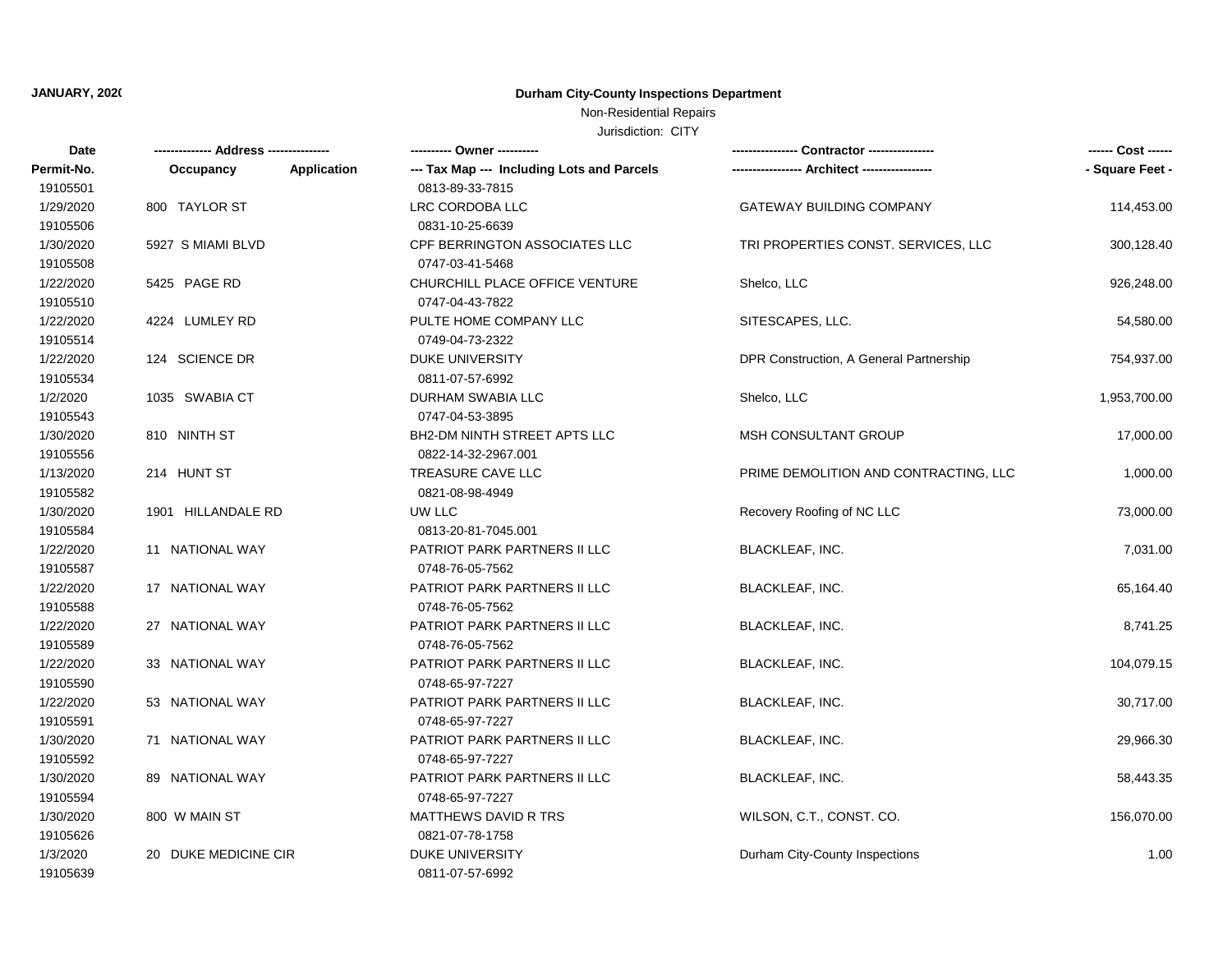## **JANUARY, 2020 Durham City-County Inspections Department**

## Non-Residential Repairs

Jurisdiction: CITY

| Date                  |                                 | ---------- Owner ----------                |                                         | ------ Cost ------ |
|-----------------------|---------------------------------|--------------------------------------------|-----------------------------------------|--------------------|
| Permit-No.            | <b>Application</b><br>Occupancy | --- Tax Map --- Including Lots and Parcels | --- Architect -----------------         | - Square Feet -    |
| 19105501              |                                 | 0813-89-33-7815                            |                                         |                    |
| 1/29/2020             | 800 TAYLOR ST                   | LRC CORDOBA LLC                            | <b>GATEWAY BUILDING COMPANY</b>         | 114,453.00         |
| 19105506              |                                 | 0831-10-25-6639                            |                                         |                    |
| 1/30/2020             | 5927 S MIAMI BLVD               | CPF BERRINGTON ASSOCIATES LLC              | TRI PROPERTIES CONST. SERVICES, LLC     | 300,128.40         |
| 19105508              |                                 | 0747-03-41-5468                            |                                         |                    |
| 1/22/2020             | 5425 PAGE RD                    | CHURCHILL PLACE OFFICE VENTURE             | Shelco, LLC                             | 926,248.00         |
| 19105510              |                                 | 0747-04-43-7822                            |                                         |                    |
| 1/22/2020<br>19105514 | 4224 LUMLEY RD                  | PULTE HOME COMPANY LLC<br>0749-04-73-2322  | SITESCAPES, LLC.                        | 54,580.00          |
| 1/22/2020             | 124 SCIENCE DR                  | <b>DUKE UNIVERSITY</b>                     | DPR Construction, A General Partnership | 754,937.00         |
| 19105534              |                                 | 0811-07-57-6992                            |                                         |                    |
| 1/2/2020              | 1035 SWABIA CT                  | DURHAM SWABIA LLC                          | Shelco, LLC                             | 1,953,700.00       |
| 19105543              |                                 | 0747-04-53-3895                            |                                         |                    |
| 1/30/2020             | 810 NINTH ST                    | BH2-DM NINTH STREET APTS LLC               | <b>MSH CONSULTANT GROUP</b>             | 17,000.00          |
| 19105556              |                                 | 0822-14-32-2967.001                        |                                         |                    |
| 1/13/2020             | 214 HUNT ST                     | TREASURE CAVE LLC                          | PRIME DEMOLITION AND CONTRACTING, LLC   | 1,000.00           |
| 19105582              |                                 | 0821-08-98-4949                            |                                         |                    |
| 1/30/2020             | 1901 HILLANDALE RD              | UW LLC                                     | Recovery Roofing of NC LLC              | 73,000.00          |
| 19105584              |                                 | 0813-20-81-7045.001                        |                                         |                    |
| 1/22/2020             | 11 NATIONAL WAY                 | PATRIOT PARK PARTNERS II LLC               | <b>BLACKLEAF, INC.</b>                  | 7,031.00           |
| 19105587              |                                 | 0748-76-05-7562                            |                                         |                    |
| 1/22/2020             | 17 NATIONAL WAY                 | PATRIOT PARK PARTNERS II LLC               | <b>BLACKLEAF, INC.</b>                  | 65,164.40          |
| 19105588              |                                 | 0748-76-05-7562                            |                                         |                    |
| 1/22/2020             | 27 NATIONAL WAY                 | PATRIOT PARK PARTNERS II LLC               | <b>BLACKLEAF, INC.</b>                  | 8,741.25           |
| 19105589              |                                 | 0748-76-05-7562                            |                                         |                    |
| 1/22/2020             | 33 NATIONAL WAY                 | PATRIOT PARK PARTNERS II LLC               | <b>BLACKLEAF, INC.</b>                  | 104,079.15         |
| 19105590              |                                 | 0748-65-97-7227                            |                                         |                    |
| 1/22/2020             | 53 NATIONAL WAY                 | PATRIOT PARK PARTNERS II LLC               | <b>BLACKLEAF, INC.</b>                  | 30,717.00          |
| 19105591              |                                 | 0748-65-97-7227                            |                                         |                    |
| 1/30/2020             | 71 NATIONAL WAY                 | PATRIOT PARK PARTNERS II LLC               | <b>BLACKLEAF, INC.</b>                  | 29,966.30          |
| 19105592              |                                 | 0748-65-97-7227                            |                                         |                    |
| 1/30/2020             | 89 NATIONAL WAY                 | PATRIOT PARK PARTNERS II LLC               | <b>BLACKLEAF, INC.</b>                  | 58,443.35          |
| 19105594              |                                 | 0748-65-97-7227                            |                                         |                    |
| 1/30/2020             | 800 W MAIN ST                   | MATTHEWS DAVID R TRS                       | WILSON, C.T., CONST. CO.                | 156,070.00         |
| 19105626              |                                 | 0821-07-78-1758                            |                                         |                    |
| 1/3/2020              | 20 DUKE MEDICINE CIR            | <b>DUKE UNIVERSITY</b>                     | Durham City-County Inspections          | 1.00               |
| 19105639              |                                 | 0811-07-57-6992                            |                                         |                    |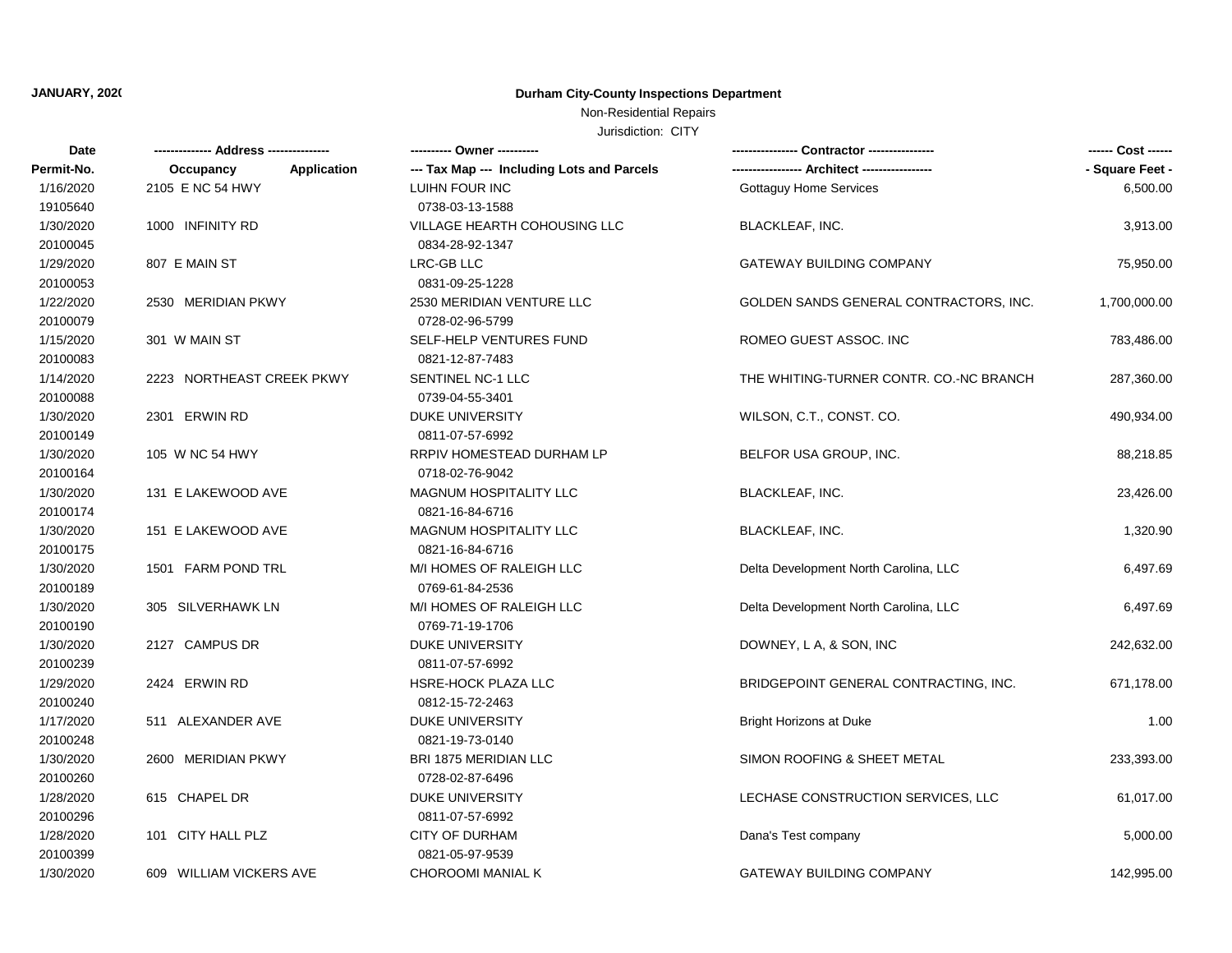# **JANUARY, 2020 Durham City-County Inspections Department**

## Non-Residential Repairs

Jurisdiction: CITY

| Date       | ------------- Address --------------- |                                            |                                         |                 |
|------------|---------------------------------------|--------------------------------------------|-----------------------------------------|-----------------|
| Permit-No. | <b>Application</b><br>Occupancy       | --- Tax Map --- Including Lots and Parcels |                                         | - Square Feet - |
| 1/16/2020  | 2105 E NC 54 HWY                      | LUIHN FOUR INC                             | <b>Gottaguy Home Services</b>           | 6,500.00        |
| 19105640   |                                       | 0738-03-13-1588                            |                                         |                 |
| 1/30/2020  | 1000 INFINITY RD                      | VILLAGE HEARTH COHOUSING LLC               | <b>BLACKLEAF, INC.</b>                  | 3,913.00        |
| 20100045   |                                       | 0834-28-92-1347                            |                                         |                 |
| 1/29/2020  | 807 E MAIN ST                         | LRC-GB LLC                                 | <b>GATEWAY BUILDING COMPANY</b>         | 75,950.00       |
| 20100053   |                                       | 0831-09-25-1228                            |                                         |                 |
| 1/22/2020  | 2530 MERIDIAN PKWY                    | 2530 MERIDIAN VENTURE LLC                  | GOLDEN SANDS GENERAL CONTRACTORS, INC.  | 1,700,000.00    |
| 20100079   |                                       | 0728-02-96-5799                            |                                         |                 |
| 1/15/2020  | 301 W MAIN ST                         | SELF-HELP VENTURES FUND                    | ROMEO GUEST ASSOC. INC                  | 783,486.00      |
| 20100083   |                                       | 0821-12-87-7483                            |                                         |                 |
| 1/14/2020  | 2223 NORTHEAST CREEK PKWY             | SENTINEL NC-1 LLC                          | THE WHITING-TURNER CONTR. CO.-NC BRANCH | 287,360.00      |
| 20100088   |                                       | 0739-04-55-3401                            |                                         |                 |
| 1/30/2020  | 2301 ERWIN RD                         | DUKE UNIVERSITY                            | WILSON, C.T., CONST. CO.                | 490,934.00      |
| 20100149   |                                       | 0811-07-57-6992                            |                                         |                 |
| 1/30/2020  | 105 W NC 54 HWY                       | RRPIV HOMESTEAD DURHAM LP                  | BELFOR USA GROUP, INC.                  | 88,218.85       |
| 20100164   |                                       | 0718-02-76-9042                            |                                         |                 |
| 1/30/2020  | 131 E LAKEWOOD AVE                    | MAGNUM HOSPITALITY LLC                     | <b>BLACKLEAF, INC.</b>                  | 23,426.00       |
| 20100174   |                                       | 0821-16-84-6716                            |                                         |                 |
| 1/30/2020  | 151 E LAKEWOOD AVE                    | <b>MAGNUM HOSPITALITY LLC</b>              | <b>BLACKLEAF, INC.</b>                  | 1,320.90        |
| 20100175   |                                       | 0821-16-84-6716                            |                                         |                 |
| 1/30/2020  | 1501 FARM POND TRL                    | M/I HOMES OF RALEIGH LLC                   | Delta Development North Carolina, LLC   | 6,497.69        |
| 20100189   |                                       | 0769-61-84-2536                            |                                         |                 |
| 1/30/2020  | 305 SILVERHAWK LN                     | M/I HOMES OF RALEIGH LLC                   | Delta Development North Carolina, LLC   | 6,497.69        |
| 20100190   |                                       | 0769-71-19-1706                            |                                         |                 |
| 1/30/2020  | 2127 CAMPUS DR                        | <b>DUKE UNIVERSITY</b>                     | DOWNEY, L A, & SON, INC                 | 242,632.00      |
| 20100239   |                                       | 0811-07-57-6992                            |                                         |                 |
| 1/29/2020  | 2424 ERWIN RD                         | HSRE-HOCK PLAZA LLC                        | BRIDGEPOINT GENERAL CONTRACTING, INC.   | 671,178.00      |
| 20100240   |                                       | 0812-15-72-2463                            |                                         |                 |
| 1/17/2020  | 511 ALEXANDER AVE                     | <b>DUKE UNIVERSITY</b>                     | <b>Bright Horizons at Duke</b>          | 1.00            |
| 20100248   |                                       | 0821-19-73-0140                            |                                         |                 |
| 1/30/2020  | 2600 MERIDIAN PKWY                    | BRI 1875 MERIDIAN LLC                      | SIMON ROOFING & SHEET METAL             | 233,393.00      |
| 20100260   |                                       | 0728-02-87-6496                            |                                         |                 |
| 1/28/2020  | 615 CHAPEL DR                         | <b>DUKE UNIVERSITY</b>                     | LECHASE CONSTRUCTION SERVICES, LLC      | 61,017.00       |
| 20100296   |                                       | 0811-07-57-6992                            |                                         |                 |
| 1/28/2020  | 101 CITY HALL PLZ                     | CITY OF DURHAM                             | Dana's Test company                     | 5,000.00        |
| 20100399   |                                       | 0821-05-97-9539                            |                                         |                 |
| 1/30/2020  | 609 WILLIAM VICKERS AVE               | CHOROOMI MANIAL K                          | <b>GATEWAY BUILDING COMPANY</b>         | 142,995.00      |